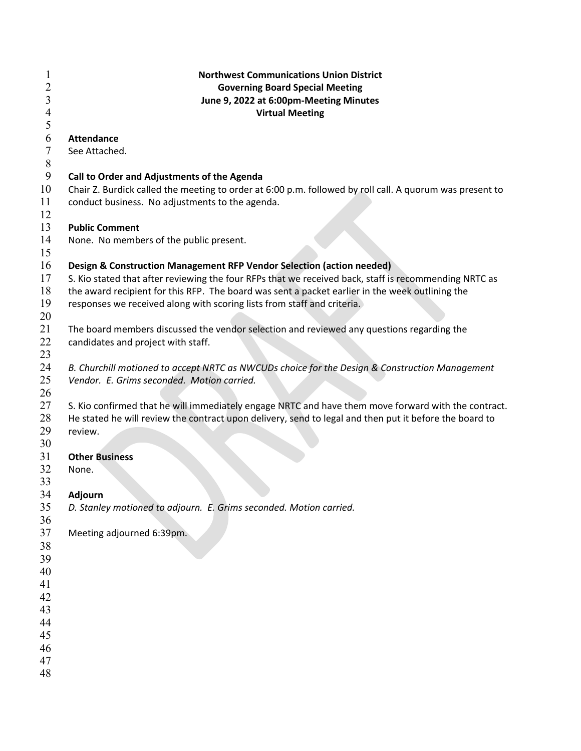| 1     | <b>Northwest Communications Union District</b>                                                           |
|-------|----------------------------------------------------------------------------------------------------------|
| 2     | <b>Governing Board Special Meeting</b>                                                                   |
| 3     | June 9, 2022 at 6:00pm-Meeting Minutes                                                                   |
| 4     | <b>Virtual Meeting</b>                                                                                   |
| 5     |                                                                                                          |
| 6     | <b>Attendance</b>                                                                                        |
| 7     | See Attached.                                                                                            |
| $8\,$ |                                                                                                          |
| 9     | Call to Order and Adjustments of the Agenda                                                              |
| 10    | Chair Z. Burdick called the meeting to order at 6:00 p.m. followed by roll call. A quorum was present to |
| 11    |                                                                                                          |
| 12    | conduct business. No adjustments to the agenda.                                                          |
|       |                                                                                                          |
| 13    | <b>Public Comment</b>                                                                                    |
| 14    | None. No members of the public present.                                                                  |
| 15    |                                                                                                          |
| 16    | Design & Construction Management RFP Vendor Selection (action needed)                                    |
| 17    | S. Kio stated that after reviewing the four RFPs that we received back, staff is recommending NRTC as    |
| 18    | the award recipient for this RFP. The board was sent a packet earlier in the week outlining the          |
| 19    | responses we received along with scoring lists from staff and criteria.                                  |
| 20    |                                                                                                          |
| 21    | The board members discussed the vendor selection and reviewed any questions regarding the                |
| 22    | candidates and project with staff.                                                                       |
| 23    |                                                                                                          |
| 24    | B. Churchill motioned to accept NRTC as NWCUDs choice for the Design & Construction Management           |
| 25    | Vendor. E. Grims seconded. Motion carried.                                                               |
| 26    |                                                                                                          |
| 27    | S. Kio confirmed that he will immediately engage NRTC and have them move forward with the contract.      |
| 28    | He stated he will review the contract upon delivery, send to legal and then put it before the board to   |
| 29    | review.                                                                                                  |
| 30    |                                                                                                          |
| 31    | <b>Other Business</b>                                                                                    |
| 32    | None.                                                                                                    |
| 33    |                                                                                                          |
| 34    | Adjourn                                                                                                  |
| 35    | D. Stanley motioned to adjourn. E. Grims seconded. Motion carried.                                       |
| 36    |                                                                                                          |
| 37    | Meeting adjourned 6:39pm.                                                                                |
| 38    |                                                                                                          |
| 39    |                                                                                                          |
| 40    |                                                                                                          |
| 41    |                                                                                                          |
| 42    |                                                                                                          |
| 43    |                                                                                                          |
| 44    |                                                                                                          |
| 45    |                                                                                                          |
| 46    |                                                                                                          |
| 47    |                                                                                                          |
| 48    |                                                                                                          |
|       |                                                                                                          |